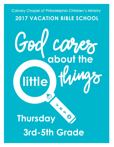## **Calvary Chapel of Philadelphia Children's Ministry 2017 VACATION BIBLE SCHOOL**

Cares<br>about the

God

little

**B 5 Thursday 3rd-5th Grade**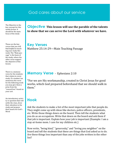### God cares about our service

The Objective is the key concept for this weeks lesson. It should be the main focus of the study

These are the key verses that you will find helpful in teaching your study this week. The "Main passage" is the basis of the study, where the other verse support the objective of the lesson.

There is a memory verse for the students that relates to every study. If a student can memorize the verse for the following week you may give them a prize from the "reward box" found on your cart.

An introductory activity or question that will settle the class, draw their attention to the study and prepare their hearts for God's Word

#### **Objective This lesson will use the parable of the talents to show that we can serve the Lord with whatever we have.**

**Key Verses** Matthew 25:14-29—Main Teaching Passage

#### **Memory Verse** - Ephesians 2:10

**"**For we are His workmanship, created in Christ Jesus for good works, which God prepared beforehand that we should walk in them."

### **Hook**

Ask the students to make a list of the most important jobs that people do. They might come up with ideas like doctors, police officers, presidents, etc. Write those things down on the board. Then tell the students what you do as an occupation. Write that down on the board and ask them if that job is important. Explain how your job is important (Example: I am a stay-at-home mom. I care for my children etc.)

Now write, "being kind," "generosity," and "loving you neighbor" on the board and tell the students that these are things that God asked us to do. Are these things less important than any of the jobs written in the other list?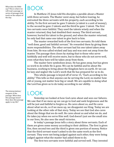What does the Bible say? This is where we will read a passage or series of passages that teach on the subject of the day.

The interpretation/ exegesis of the passage. What does this passage mean? How does this passage apply to my life?

# BOOK

In Matthew 25 Jesus told His disciples a parable about a Master with three servants. The Master went away, but before leaving, he entrusted the three servants with his property, each according to his ability. To the first servant he gave 5 talents (a talent is a unit of money), to the second he gave 2 talents and the third he gave 1 talent. The first two servants were faithful. They used the talents wisely and when the master returned, they had doubled their money. The third servant, however, buried his talent in the ground, and when the master returned, he only had that same one talent to give back to him.

The master rewarded both of the first two servants. He told them "well done, good and faithful servant." He rewarded them by giving them more responsibilities. The other servant had his one talent taken away from him. He was called wicked and lazy and was sent out away from the master. The passage then closes by stating that to those who serve faithfully and well will receive more, but to those who do not serve well, even what they have will be taken away from them.

The master here symbolizes Jesus. He has gone away, but has given us work to do while He is gone. We can be faithful and be about His business, working to bring about the Kingdom here on earth. Or we can be lazy and neglect the Lord's work that He has prepared for us to do.

This whole passage is keyed off of verse 15, "Each according to his ability." This tells us that anyone can be serving the Lord, no matter how old or young, not matter how big or small. We are capable to doing what the Lord has given us to do today according to our ability.

### LOOK

Yesterday we looked at how God cares about and sees our failures. We saw that if we mess up we can go to God and seek forgiveness and He will be just and faithful to forgive us. He cares about us, and He cares about what we do, so if we mess up, we disappoint our King. Today we are looking at the other side of that story. Today we see that God also cares about the things that we do well. He cares about us and what we do, and He takes joy when we serve Him well. God doesn't just see the small sins in our lives, He also sees the small victories.

In today's passage Jesus tells a story about three servants. Each of them are given some money according to their abilities. The first is given five, then second two and the third is given one portion of money. Notice that the third servant wasn't asked to do the same work as the first servant. They were not being judged against each other, they were being judged against what the master had asked them to do.

The first two servants were faithful and served well. They invested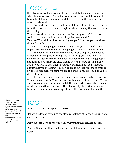## LOOK (Continued)

their treasure well and were able to give back to the master more than what they were given. The last servant however did not follow suit. He buried his talent in the ground and did not use it in the way that the master had asked.

You and I have been given time and different talents and treasures from the Lord. We have to be thoughtful about the way that we use those three things:

Time—How do we spend the time that God has given us? Do we use it well, or do we waste time doing things that we shouldn't Talents– What abilities has the Lord given you? How can you use those things for God?

Treasure– Are we going to use our money in ways that bring lasting impact to God's kingdom or are we going to use it on frivolous things?

Whatever the answers to the above three things are, we need to remember one important thing. God isn't asking you to be like Billy Graham or Hudson Taylor, who both travelled the world telling people about Jesus. You aren't old enough, and you don't have enough money. Maybe you will do that later in your life, but right now God still cares about what you are doing. You don't need to act like Paul the apostle to bring God pleasure, you simply need to do the things He is asking you to do right now.

Every time you are kind and polite to someone, you bring God joy. When you read God's Word and pray to Him, it give Him pleasure. When you love your neighbor, when you tell the truth, when you help people in need, God sees those things and He is blessed by them. God sees your little acts of service and your big acts, and He cares about them both.

## TOOK

As a class, memorize Ephesians 3:10.

Review the lesson by asking the class what kinds of things they can do to serve God today.

**Pray:** Ask the Lord to show the class ways that they can honor Him.

**Parent Question:** How can I use my time, talents, and treasure to serve God?

What is my response to this passage of Scripture? How should my life change according to what this passage teaches me? What are the practical things I can do throughout the week to make this true in my life?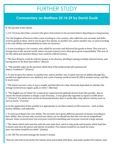## FURTHER STUDY

### **Commentary on Matthew 25:14-29 by David Guzik**

B. The parable of the talents.

1. (14-15) Jesus describes a master who gives instructions to his servants before departing on a long journey.

"For the kingdom of heaven is like a man traveling to a far country, who called his own servants and delivered his goods to them. And to one he gave five talents, to another two, and to another one, to each according to his own ability; and immediately he went on a journey."

a. A man traveling to a far country, who called his servants and delivered his goods to them: This was not a strange idea in the ancient world, where servants (slaves) were often given great responsibility. This was often the safest and smartest thing a man could do with his money.

i. "The best thing he could do with his money in his absence, dividing it among carefully selected slaves, and leaving them to do their best with it." (Bruce)

ii. "This parable takes up the question which that of the bridesmaids left unanswered: what is 'readiness'?" (France)

b. To one he gave five talents, to another two, and to another one: A talent was not an ability (though this parable has application to our abilities), but a unit of money worth at least \$1,200 in modern terms, and likely much more.

i. "The talent was not a coin, it was a weight; and therefore its value obviously depended on whether the coinage involved was copper, gold, or silver." (Barclay)

ii. "The English use of 'talent' for a natural (or supernatural) aptitude derives from this parable…But of course the Greek talanton is simply a sum of money…it was generally regarded as equal to 6,000 denarii." (France) "If a talent were worth six thousand denarii, then it would take a day laborer twenty years to earn so much." (Carson)

iii. In the application of this parable it is appropriate to see these talents as life resources – such as time, money, abilities, and authority.

c. To each according to his own ability: The servants were given different amounts of money according to their ability. One servant only received one talent, yet we should see that this was not an insignificant amount. Some received more; but everyone received something and everyone received a large amount.

i. "The talent which each man has suits his own state best; and it is only pride and insanity which lead him to desire and envy the graces and talents of another. Five talents would be too much for some men: one talent would be too little." (Clarke)

2. (16-18) The servants manage the master's money.

"Then he who had received the five talents went and traded with them, and made another five talents. And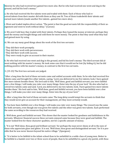likewise he who had received two gained two more also. But he who had received one went and dug in the ground, and hid his lord's money."

a. He who had received the five talents went and traded with them: Each of those who had received talents from their master did with them as they saw fit. Two of them tradedwith their talents and earned more talents (made another five talents…gained two more also).

i. Went and traded implies direct action. "The point is that the good servants felt the responsibility of their assignment and went to work without delay." (Carson)

ii. We aren't told how they traded with their talents. Perhaps they loaned the money at interest, perhaps they used the money and bought things and sold them for more money. The point is that they used what they had and gained more by using.

iii. We can say many good things about the work of the first two servants:

- · They did their work promptly.
- · They did their work with perseverance.
- · They did their work with success.
- · They were ready to give an account to their master.

b. He who had received one went and dug in the ground, and hid his lord's money: The third servant did almost nothing with his master's money. He took some care that it would not be lost (by hiding it), but he did nothing positive with his master's money, in contrast to the first two servants.

3. (19-23) The first two servants are judged.

"After a long time the lord of those servants came and settled accounts with them. So he who had received five talents came and brought five other talents, saying, 'Lord, you delivered to me five talents; look, I have gained five more talents besides them.' His lord said to him, 'Well done, good and faithful servant; you were faithful over a few things, I will make you ruler over many things. Enter into the joy of your lord.' He also who had received two talents came and said, 'Lord, you delivered to me two talents; look, I have gained two more talents besides them.' His lord said to him, 'Well done, good and faithful servant; you have been faithful over a few things, I will make you ruler over many things. Enter into the joy of your lord.'"

a. After a long time the lord of those servants came: The long delay would tempt the servants to think that they would never give an account for their management, yet they most certainly would.

b. You have been faithful over a few things, I will make you ruler over many things: The reward was the same for both servants, even though one was given five talents and the other was given two talents. Each performed the same according to the resources they had received.

c. Well done, good and faithful servant: This shows that the master looked for goodness and faithfulness in His servants. Whatever financial success these servants enjoyed came because they were good and faithful. The master looked first for these character qualities, not for a specific amount of money.

i. "It is not 'Well done, thou good and brilliant servant;' for perhaps the man never shone at all in the eyes of those who appreciate glare and glitter. It is not, 'Well done, thou great and distinguished servant;' for it is possible that he was never known beyond his native village." (Spurgeon)

ii. "It is better to be faithful in the infant-school than to be unfaithful in a noble class of young men. Better to be faithful in a hamlet over two or three score of people, than to be unfaithful in a great-city parish, with thou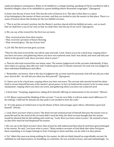sands perishing in consequence. Better to be faithful in a cottage meeting, speaking of Christ crucified to half-a hundred villagers, than to be unfaithful in a great building where thousands congregate." (Spurgeon)

d. Enter into the joy of your lord: This has the echo of heaven in it. The idea is that there is a place of joy belonging to the master of these servants, and they are invited to join the master in that place. There is a sense of heaven about this destiny for the two faithful servants.

i. "This is not the servant's portion, but the Master's portion shared with his faithful servants…not so much that we shall have a joy of our own as that we shall enter into the joy of our Lord." (Spurgeon)

ii. We can say of the reward for the first two servants:

- · They received praise from their master.
- · They received a promise of future blessing.
- · They received glory, "the joy of your lord."

4. (24-30) The third servant gives account.

"Then he who had received the one talent came and said, 'Lord, I knew you to be a hard man, reaping where you have not sown, and gathering where you have not scattered seed. And I was afraid, and went and hid your talent in the ground. Look, there you have what is yours.'"

a. Then he who had received the one talent came: The master judged each of the servants individually. If they were taken as a group, they did very well: 8 talents given and 15 talents returned. Yet each one was judged on their individual faithfulness and effort.

i. "Remember, my hearer, that in the day of judgment thy account must be personal; God will not ask you what your church did – he will ask you what you did yourself." (Spurgeon)

b. I knew you to be a hard man, reaping where you have not sown: The servant who merely buried his talent tried to excuse himself because of his master's great power. In fact, he believed his master to be in some sense omnipotent: reaping where you have not sown, and gathering where you have not scattered seed.

i. A hard man: "Grasping, ungenerous, taking all to himself, offering no inducements to his servants." (Bruce)

ii. F.B. Meyer expressed the thinking of this servant: "I can do very little; it will not make much difference if I do nothing: I shall not be missed; my tiny push is not needed to turn the scale."

iii. "It is the genius of wicked men to lay the blame of their miscarriages upon others, oftentimes upon God himself." (Poole)

c. Look, there you have what is yours: The third servant seemed proud of himself. Because the master was so powerful and (in the mind of the servant) didn't need his help, the third servant thought that the master would be pleased that he did nothing and could say, "Look, there you have what is yours." He seemed to have no idea how much he had displeased his master.

i. We can say in the third servant's favor that at least he still understood that what he had been given belonged to his master. He said, "you have what is yours." Many modern servants of God think that when God gives them something, it no longer belongs to God; it belongs to them and they can do with it as they please.

ii. Yet "albeit this man was doing nothing for his master, he did not think himself an unprofitable servant. He exhibited no self-depreciation, no humbling, no contrition. He was as bold as brass, and said unblushingly, 'Lo,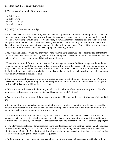there thou hast that is thine.'" (Spurgeon)

iii. We can say of the work of the third servant:

· He didn't think.

- · He didn't work.
- · He didn't even try.
- · He made excuses.

5. (26-30) The third servant is judged.

"But his lord answered and said to him, 'You wicked and lazy servant, you knew that I reap where I have not sown, and gather where I have not scattered seed. So you ought to have deposited my money with the bankers, and at my coming I would have received back my own with interest. Therefore take the talent from him, and give it to him who has ten talents. For to everyone who has, more will be given, and he will have abundance; but from him who does not have, even what he has will be taken away. And cast the unprofitable servant into the outer darkness. There will be weeping and gnashing of teeth.'"

a. You wicked and lazy servant, you knew that I reap where I have not sown: The condemnation of this third servant – here called a wicked and lazy servant – was strong. The sovereignty of the master never excused the laziness of the servant. It condemned that laziness all the more.

i. Those who don't work for the Lord, or pray, or don't evangelize because God is sovereign condemn themselves by their laziness. By their actions (or lack of action) they show that they are like the wicked servant in the parable. They do not know their Master's heart at all. "The lord of the unprofitable servant tells him, that the fault lay in his own sloth and wickedness, and his dread of his lord's security was but a mere frivolous pretence and unreasonable excuse." (Poole)

ii. The charge against this servant who merely buried his talent was that he was wicked and lazy. We rarely see laziness as a real sin, something that must be repented of before the Lord. If laziness were a calling or a spiritual gift, this man would have been excellent.

iii. "Not dishonest – the master had not misjudged as to that – but indolent, unenterprising, timid…Slothful, a poor creature altogether: suspicious, timid, heartless, spiritless, idle." (Bruce)

iv. We might say that this servant did not have a proper fear of his master, but an unfitting fear of risk and failure.

b. So you ought to have deposited my money with the bankers, and at my coming I would have received back my own with interest: This man could have done something with what he had. Even if it had not doubled, it would have gained some interest for the master's money.

i. "If we cannot trade directly and personally on our Lord's account, if we have not the skill nor the tact to manage a society or an enterprise for him, we may at least contribute to what others are doing, and join our capital to theirs, so that, by some means, our Master may have the interest to which he is entitled." (Spurgeon)

ii. "The Old Testament forbade Israelites from charging interest against one another (Exodus 22:25; Leviticus 25:35-37; Deuteronomy 23:19; cf. Psalm 15:5…); but interest on money loaned to Gentiles was permitted (Deuteronomy 23:20)…By New Testament times Jewish scholars had already distinguished between 'lending at interest' and 'usury' (in the modern sense)." (Carson)

c. For to everyone who has, more will be given…but from him who does not have, even what he has will be